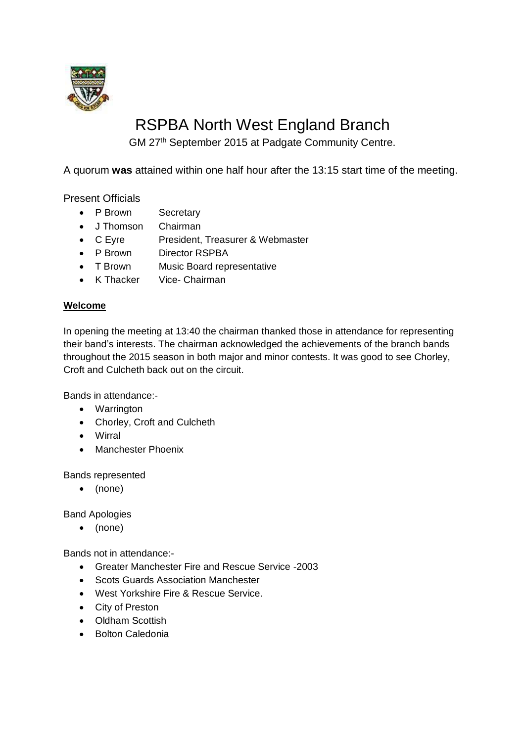

# RSPBA North West England Branch

GM 27<sup>th</sup> September 2015 at Padgate Community Centre.

A quorum **was** attained within one half hour after the 13:15 start time of the meeting.

Present Officials

- P Brown Secretary
- J Thomson Chairman
- C Eyre President, Treasurer & Webmaster
- P Brown Director RSPBA
- T Brown Music Board representative
- K Thacker Vice- Chairman

### **Welcome**

In opening the meeting at 13:40 the chairman thanked those in attendance for representing their band's interests. The chairman acknowledged the achievements of the branch bands throughout the 2015 season in both major and minor contests. It was good to see Chorley, Croft and Culcheth back out on the circuit.

Bands in attendance:-

- Warrington
- Chorley, Croft and Culcheth
- Wirral
- Manchester Phoenix

Bands represented

(none)

Band Apologies

(none)

Bands not in attendance:-

- Greater Manchester Fire and Rescue Service -2003
- Scots Guards Association Manchester
- West Yorkshire Fire & Rescue Service.
- City of Preston
- Oldham Scottish
- Bolton Caledonia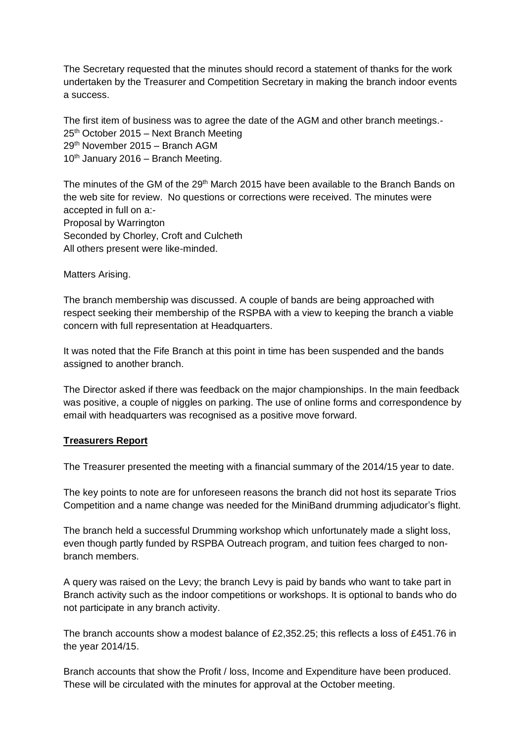The Secretary requested that the minutes should record a statement of thanks for the work undertaken by the Treasurer and Competition Secretary in making the branch indoor events a success.

The first item of business was to agree the date of the AGM and other branch meetings.- 25th October 2015 – Next Branch Meeting 29th November 2015 – Branch AGM  $10^{th}$  January 2016 – Branch Meeting.

The minutes of the GM of the 29<sup>th</sup> March 2015 have been available to the Branch Bands on the web site for review. No questions or corrections were received. The minutes were accepted in full on a:- Proposal by Warrington

Seconded by Chorley, Croft and Culcheth All others present were like-minded.

Matters Arising.

The branch membership was discussed. A couple of bands are being approached with respect seeking their membership of the RSPBA with a view to keeping the branch a viable concern with full representation at Headquarters.

It was noted that the Fife Branch at this point in time has been suspended and the bands assigned to another branch.

The Director asked if there was feedback on the major championships. In the main feedback was positive, a couple of niggles on parking. The use of online forms and correspondence by email with headquarters was recognised as a positive move forward.

#### **Treasurers Report**

The Treasurer presented the meeting with a financial summary of the 2014/15 year to date.

The key points to note are for unforeseen reasons the branch did not host its separate Trios Competition and a name change was needed for the MiniBand drumming adjudicator's flight.

The branch held a successful Drumming workshop which unfortunately made a slight loss, even though partly funded by RSPBA Outreach program, and tuition fees charged to nonbranch members.

A query was raised on the Levy; the branch Levy is paid by bands who want to take part in Branch activity such as the indoor competitions or workshops. It is optional to bands who do not participate in any branch activity.

The branch accounts show a modest balance of £2,352.25; this reflects a loss of £451.76 in the year 2014/15.

Branch accounts that show the Profit / loss, Income and Expenditure have been produced. These will be circulated with the minutes for approval at the October meeting.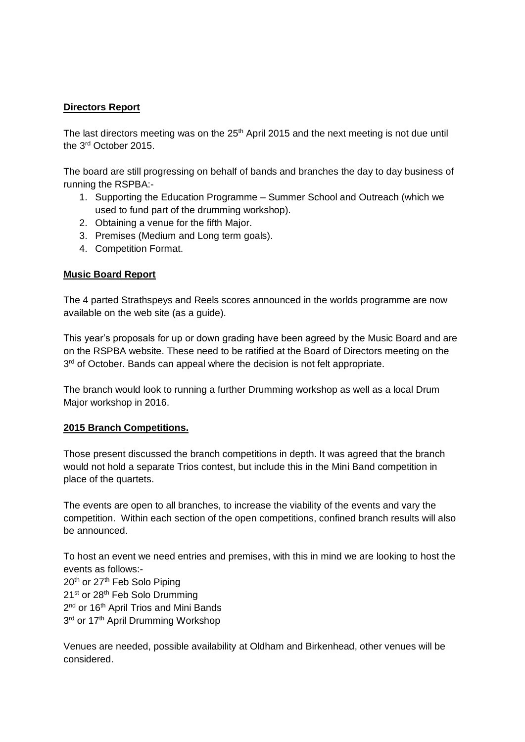## **Directors Report**

The last directors meeting was on the 25<sup>th</sup> April 2015 and the next meeting is not due until the 3rd October 2015.

The board are still progressing on behalf of bands and branches the day to day business of running the RSPBA:-

- 1. Supporting the Education Programme Summer School and Outreach (which we used to fund part of the drumming workshop).
- 2. Obtaining a venue for the fifth Major.
- 3. Premises (Medium and Long term goals).
- 4. Competition Format.

#### **Music Board Report**

The 4 parted Strathspeys and Reels scores announced in the worlds programme are now available on the web site (as a guide).

This year's proposals for up or down grading have been agreed by the Music Board and are on the RSPBA website. These need to be ratified at the Board of Directors meeting on the 3<sup>rd</sup> of October. Bands can appeal where the decision is not felt appropriate.

The branch would look to running a further Drumming workshop as well as a local Drum Major workshop in 2016.

#### **2015 Branch Competitions.**

Those present discussed the branch competitions in depth. It was agreed that the branch would not hold a separate Trios contest, but include this in the Mini Band competition in place of the quartets.

The events are open to all branches, to increase the viability of the events and vary the competition. Within each section of the open competitions, confined branch results will also be announced.

To host an event we need entries and premises, with this in mind we are looking to host the events as follows:- 20<sup>th</sup> or 27<sup>th</sup> Feb Solo Piping 21<sup>st</sup> or 28<sup>th</sup> Feb Solo Drumming 2<sup>nd</sup> or 16<sup>th</sup> April Trios and Mini Bands 3<sup>rd</sup> or 17<sup>th</sup> April Drumming Workshop

Venues are needed, possible availability at Oldham and Birkenhead, other venues will be considered.